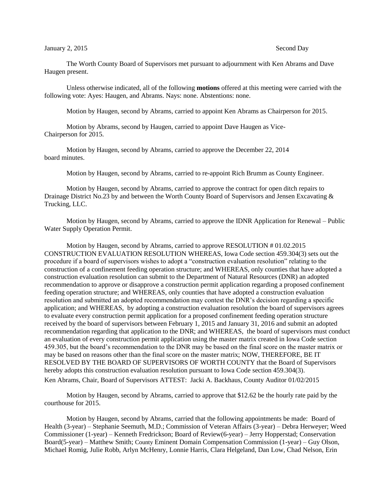## January 2, 2015 Second Day

The Worth County Board of Supervisors met pursuant to adjournment with Ken Abrams and Dave Haugen present.

Unless otherwise indicated, all of the following **motions** offered at this meeting were carried with the following vote: Ayes: Haugen, and Abrams. Nays: none. Abstentions: none.

Motion by Haugen, second by Abrams, carried to appoint Ken Abrams as Chairperson for 2015.

Motion by Abrams, second by Haugen, carried to appoint Dave Haugen as Vice-Chairperson for 2015.

Motion by Haugen, second by Abrams, carried to approve the December 22, 2014 board minutes.

Motion by Haugen, second by Abrams, carried to re-appoint Rich Brumm as County Engineer.

Motion by Haugen, second by Abrams, carried to approve the contract for open ditch repairs to Drainage District No.23 by and between the Worth County Board of Supervisors and Jensen Excavating & Trucking, LLC.

Motion by Haugen, second by Abrams, carried to approve the IDNR Application for Renewal – Public Water Supply Operation Permit.

Motion by Haugen, second by Abrams, carried to approve RESOLUTION # 01.02.2015 CONSTRUCTION EVALUATION RESOLUTION WHEREAS, Iowa Code section 459.304(3) sets out the procedure if a board of supervisors wishes to adopt a "construction evaluation resolution" relating to the construction of a confinement feeding operation structure; and WHEREAS, only counties that have adopted a construction evaluation resolution can submit to the Department of Natural Resources (DNR) an adopted recommendation to approve or disapprove a construction permit application regarding a proposed confinement feeding operation structure; and WHEREAS, only counties that have adopted a construction evaluation resolution and submitted an adopted recommendation may contest the DNR's decision regarding a specific application; and WHEREAS, by adopting a construction evaluation resolution the board of supervisors agrees to evaluate every construction permit application for a proposed confinement feeding operation structure received by the board of supervisors between February 1, 2015 and January 31, 2016 and submit an adopted recommendation regarding that application to the DNR; and WHEREAS, the board of supervisors must conduct an evaluation of every construction permit application using the master matrix created in Iowa Code section 459.305, but the board's recommendation to the DNR may be based on the final score on the master matrix or may be based on reasons other than the final score on the master matrix; NOW, THEREFORE, BE IT RESOLVED BY THE BOARD OF SUPERVISORS OF WORTH COUNTY that the Board of Supervisors hereby adopts this construction evaluation resolution pursuant to Iowa Code section 459.304(3). Ken Abrams, Chair, Board of Supervisors ATTEST: Jacki A. Backhaus, County Auditor 01/02/2015

Motion by Haugen, second by Abrams, carried to approve that \$12.62 be the hourly rate paid by the courthouse for 2015.

Motion by Haugen, second by Abrams, carried that the following appointments be made: Board of Health (3-year) – Stephanie Seemuth, M.D.; Commission of Veteran Affairs (3-year) – Debra Herweyer; Weed Commissioner (1-year) – Kenneth Fredrickson; Board of Review(6-year) – Jerry Hopperstad; Conservation Board(5-year) – Matthew Smith; County Eminent Domain Compensation Commission (1-year) – Guy Olson, Michael Romig, Julie Robb, Arlyn McHenry, Lonnie Harris, Clara Helgeland, Dan Low, Chad Nelson, Erin